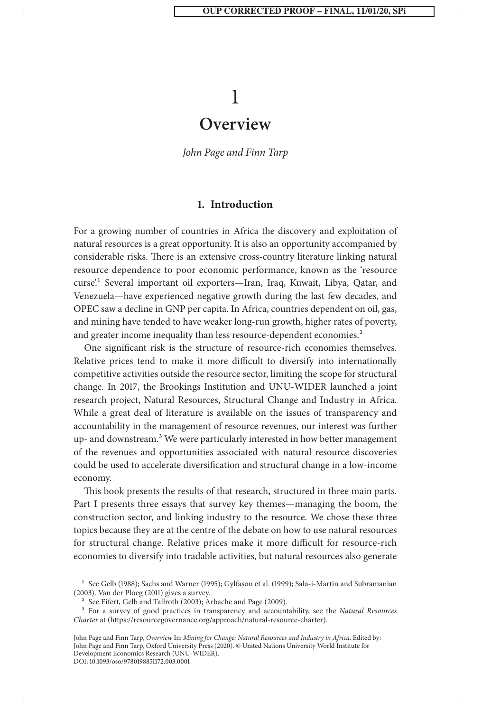# 1

## **Overview**

*John Page and Finn Tarp*

#### **1. Introduction**

For a growing number of countries in Africa the discovery and exploitation of natural resources is a great opportunity. It is also an opportunity accompanied by considerable risks. There is an extensive cross-country literature linking natural resource dependence to poor economic performance, known as the 'resource curse'.1 Several important oil exporters—Iran, Iraq, Kuwait, Libya, Qatar, and Venezuela—have experienced negative growth during the last few decades, and OPEC saw a decline in GNP per capita. In Africa, countries dependent on oil, gas, and mining have tended to have weaker long-run growth, higher rates of poverty, and greater income inequality than less resource-dependent economies.<sup>2</sup>

One significant risk is the structure of resource-rich economies themselves. Relative prices tend to make it more difficult to diversify into internationally competitive activities outside the resource sector, limiting the scope for structural change. In 2017, the Brookings Institution and UNU-WIDER launched a joint research project, Natural Resources, Structural Change and Industry in Africa. While a great deal of literature is available on the issues of transparency and accountability in the management of resource revenues, our interest was further up- and downstream.3 We were particularly interested in how better management of the revenues and opportunities associated with natural resource discoveries could be used to accelerate diversification and structural change in a low-income economy.

This book presents the results of that research, structured in three main parts. Part I presents three essays that survey key themes—managing the boom, the construction sector, and linking industry to the resource. We chose these three topics because they are at the centre of the debate on how to use natural resources for structural change. Relative prices make it more difficult for resource-rich economies to diversify into tradable activities, but natural resources also generate

<sup>&</sup>lt;sup>1</sup> See Gelb (1988); Sachs and Warner (1995); Gylfason et al. (1999); Sala-i-Martin and Subramanian (2003). Van der Ploeg (2011) gives a survey.

<sup>2</sup> See Eifert, Gelb and Tallroth (2003); Arbache and Page (2009).

<sup>3</sup> For a survey of good practices in transparency and accountability, see the *Natural Resources Charter* at (https://resourcegovernance.org/approach/natural-resource-charter).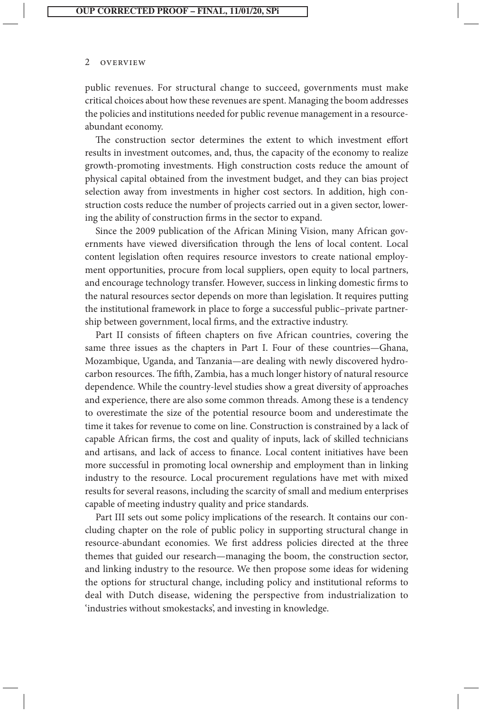public revenues. For structural change to succeed, governments must make critical choices about how these revenues are spent. Managing the boom addresses the policies and institutions needed for public revenue management in a resourceabundant economy.

The construction sector determines the extent to which investment effort results in investment outcomes, and, thus, the capacity of the economy to realize growth-promoting investments. High construction costs reduce the amount of physical capital obtained from the investment budget, and they can bias project selection away from investments in higher cost sectors. In addition, high construction costs reduce the number of projects carried out in a given sector, lowering the ability of construction firms in the sector to expand.

Since the 2009 publication of the African Mining Vision, many African governments have viewed diversification through the lens of local content. Local content legislation often requires resource investors to create national employment opportunities, procure from local suppliers, open equity to local partners, and encourage technology transfer. However, success in linking domestic firms to the natural resources sector depends on more than legislation. It requires putting the institutional framework in place to forge a successful public–private partnership between government, local firms, and the extractive industry.

Part II consists of fifteen chapters on five African countries, covering the same three issues as the chapters in Part I. Four of these countries-Ghana, Mozambique, Uganda, and Tanzania—are dealing with newly discovered hydrocarbon resources. The fifth, Zambia, has a much longer history of natural resource dependence. While the country-level studies show a great diversity of approaches and experience, there are also some common threads. Among these is a tendency to overestimate the size of the potential resource boom and underestimate the time it takes for revenue to come on line. Construction is constrained by a lack of capable African firms, the cost and quality of inputs, lack of skilled technicians and artisans, and lack of access to finance. Local content initiatives have been more successful in promoting local ownership and employment than in linking industry to the resource. Local procurement regulations have met with mixed results for several reasons, including the scarcity of small and medium enterprises capable of meeting industry quality and price standards.

Part III sets out some policy implications of the research. It contains our concluding chapter on the role of public policy in supporting structural change in resource-abundant economies. We first address policies directed at the three themes that guided our research—managing the boom, the construction sector, and linking industry to the resource. We then propose some ideas for widening the options for structural change, including policy and institutional reforms to deal with Dutch disease, widening the perspective from industrialization to 'industries without smokestacks', and investing in knowledge.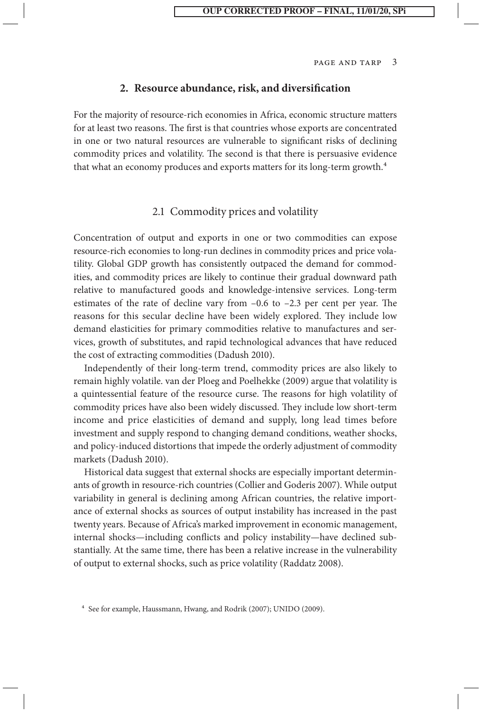#### **2. Resource abundance, risk, and diversification**

For the majority of resource-rich economies in Africa, economic structure matters for at least two reasons. The first is that countries whose exports are concentrated in one or two natural resources are vulnerable to significant risks of declining commodity prices and volatility. The second is that there is persuasive evidence that what an economy produces and exports matters for its long-term growth.<sup>4</sup>

## 2.1 Commodity prices and volatility

Concentration of output and exports in one or two commodities can expose resource-rich economies to long-run declines in commodity prices and price volatility. Global GDP growth has consistently outpaced the demand for commodities, and commodity prices are likely to continue their gradual downward path relative to manufactured goods and knowledge-intensive services. Long-term estimates of the rate of decline vary from –0.6 to –2.3 per cent per year. The reasons for this secular decline have been widely explored. They include low demand elasticities for primary commodities relative to manufactures and services, growth of substitutes, and rapid technological advances that have reduced the cost of extracting commodities (Dadush 2010).

Independently of their long-term trend, commodity prices are also likely to remain highly volatile. van der Ploeg and Poelhekke (2009) argue that volatility is a quintessential feature of the resource curse. The reasons for high volatility of commodity prices have also been widely discussed. They include low short-term income and price elasticities of demand and supply, long lead times before investment and supply respond to changing demand conditions, weather shocks, and policy-induced distortions that impede the orderly adjustment of commodity markets (Dadush 2010).

Historical data suggest that external shocks are especially important determinants of growth in resource-rich countries (Collier and Goderis 2007). While output variability in general is declining among African countries, the relative importance of external shocks as sources of output instability has increased in the past twenty years. Because of Africa's marked improvement in economic management, internal shocks—including conflicts and policy instability—have declined substantially. At the same time, there has been a relative increase in the vulnerability of output to external shocks, such as price volatility (Raddatz 2008).

<sup>4</sup> See for example, Haussmann, Hwang, and Rodrik (2007); UNIDO (2009).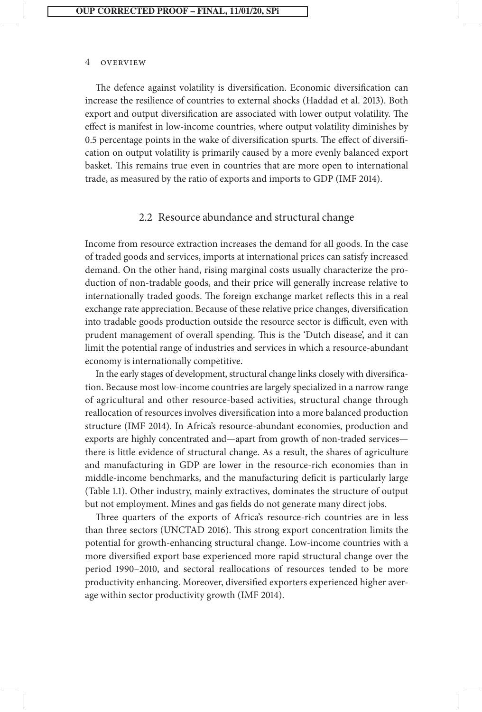The defence against volatility is diversification. Economic diversification can increase the resilience of countries to external shocks (Haddad et al. 2013). Both export and output diversification are associated with lower output volatility. The effect is manifest in low-income countries, where output volatility diminishes by 0.5 percentage points in the wake of diversification spurts. The effect of diversification on output volatility is primarily caused by a more evenly balanced export basket. This remains true even in countries that are more open to international trade, as measured by the ratio of exports and imports to GDP (IMF 2014).

## 2.2 Resource abundance and structural change

Income from resource extraction increases the demand for all goods. In the case of traded goods and services, imports at international prices can satisfy increased demand. On the other hand, rising marginal costs usually characterize the production of non-tradable goods, and their price will generally increase relative to internationally traded goods. The foreign exchange market reflects this in a real exchange rate appreciation. Because of these relative price changes, diversification into tradable goods production outside the resource sector is difficult, even with prudent management of overall spending. This is the 'Dutch disease', and it can limit the potential range of industries and services in which a resource-abundant economy is internationally competitive.

In the early stages of development, structural change links closely with diversification. Because most low-income countries are largely specialized in a narrow range of agricultural and other resource-based activities, structural change through reallocation of resources involves diversification into a more balanced production structure (IMF 2014). In Africa's resource-abundant economies, production and exports are highly concentrated and—apart from growth of non-traded services there is little evidence of structural change. As a result, the shares of agriculture and manufacturing in GDP are lower in the resource-rich economies than in middle-income benchmarks, and the manufacturing deficit is particularly large (Table 1.1). Other industry, mainly extractives, dominates the structure of output but not employment. Mines and gas fields do not generate many direct jobs.

Three quarters of the exports of Africa's resource-rich countries are in less than three sectors (UNCTAD 2016). This strong export concentration limits the potential for growth-enhancing structural change. Low-income countries with a more diversified export base experienced more rapid structural change over the period 1990–2010, and sectoral reallocations of resources tended to be more productivity enhancing. Moreover, diversified exporters experienced higher average within sector productivity growth (IMF 2014).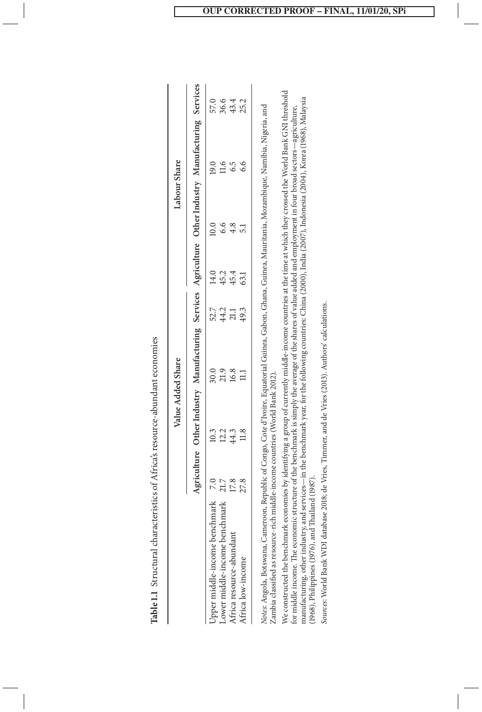|                                                                                                                                                             |      | Value Added Share                                                                                   |                      |              |              | Labour Share |      |                      |
|-------------------------------------------------------------------------------------------------------------------------------------------------------------|------|-----------------------------------------------------------------------------------------------------|----------------------|--------------|--------------|--------------|------|----------------------|
|                                                                                                                                                             |      | Agriculture Other Industry Manufacturing Services Agriculture Other Industry Manufacturing Services |                      |              |              |              |      |                      |
| Upper middle-income benchmark                                                                                                                               |      | 10.3                                                                                                |                      | 52.7         | 14.0         |              | 9.0  |                      |
| Lower middle-income benchmark                                                                                                                               | 21.7 | 12.2                                                                                                | 90.9<br>21.9<br>16.8 |              | 45.2         | 6.6          | 11.6 | 57.6<br>58.4<br>43.4 |
| Africa resource-abundant                                                                                                                                    | 17.8 | 44.3                                                                                                |                      | 44.2<br>21.1 | 45.4<br>63.1 |              |      |                      |
| Africa low-income                                                                                                                                           | 27.8 | 11.8                                                                                                |                      | 49.3         |              |              |      | 25.2                 |
| Votes: Angola, Botswana, Cameroon, Republic of Congo, Cote d'Ivoire, Equatorial Guinea, Gabon, Ghana, Guinea, Mauritania, Mozambique, Namibia, Nigeria, and |      |                                                                                                     |                      |              |              |              |      |                      |

Table 1.1 Structural characteristics of Africa's resource-abundant economies **Table 1.1** Structural characteristics of Africa's resource-abundant economies

*Notes*: Angola, Botswana, Cameroon, Republic of Congo, Cote d'Ivoire, Equatorial Guinea, Gabon, Ghana, Guinea, Mauritania, Mozambique, Namibia, Nigeria, and Zambia classified as resource-rich middle-income countries (World Bank 2012). Zambia classified as resource-rich middle-income countries (World Bank 2012). We constructed the benchmark economies by identifying a group of currently middle-income countries at the time at which they crossed the World Bank GNI threshold<br>for middle income. The economic structure of the benchmark i We constructed the benchmark economies by identifying a group of currently middle-income countries at the time at which they crossed the World Bank GNI threshold manufacturing, other industry, and services—in the benchmark year, for the following countries: China (2000), India (2007), Indonesia (2004), Korea (1968), Malaysia for middle income. The economic structure of the benchmark is simply the average of the shares of value added and employment in four broad sectors—agriculture, (1968), Philippines (1976), and Thailand (1987). (1968), Philippines (1976), and Thailand (1987).

Sources: World Bank WDI database 2018; de Vries, Timmer, and de Vries (2013). Authors' calculations. *Sources*: World Bank WDI database 2018; de Vries, Timmer, and de Vries (2013). Authors' calculations.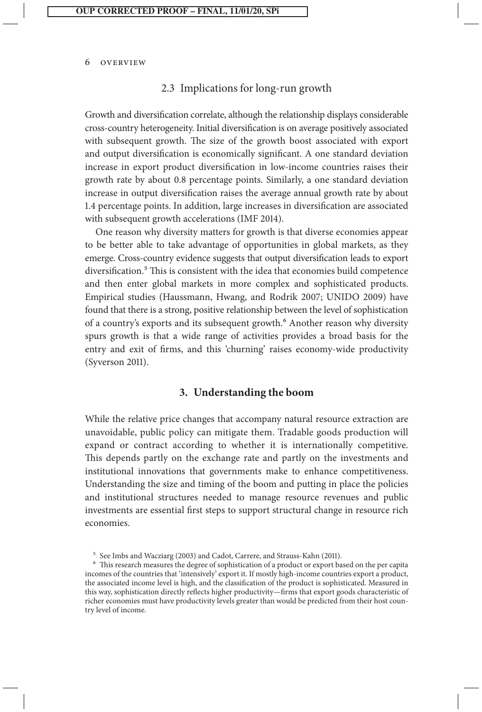#### 2.3 Implications for long-run growth

Growth and diversification correlate, although the relationship displays considerable cross-country heterogeneity. Initial diversification is on average positively associated with subsequent growth. The size of the growth boost associated with export and output diversification is economically significant. A one standard deviation increase in export product diversification in low-income countries raises their growth rate by about 0.8 percentage points. Similarly, a one standard deviation increase in output diversification raises the average annual growth rate by about 1.4 percentage points. In addition, large increases in diversification are associated with subsequent growth accelerations (IMF 2014).

One reason why diversity matters for growth is that diverse economies appear to be better able to take advantage of opportunities in global markets, as they emerge. Cross-country evidence suggests that output diversification leads to export diversification.5 This is consistent with the idea that economies build competence and then enter global markets in more complex and sophisticated products. Empirical studies (Haussmann, Hwang, and Rodrik 2007; UNIDO 2009) have found that there is a strong, positive relationship between the level of sophistication of a country's exports and its subsequent growth.6 Another reason why diversity spurs growth is that a wide range of activities provides a broad basis for the entry and exit of firms, and this 'churning' raises economy-wide productivity (Syverson 2011).

## **3. Understanding the boom**

While the relative price changes that accompany natural resource extraction are unavoidable, public policy can mitigate them. Tradable goods production will expand or contract according to whether it is internationally competitive. This depends partly on the exchange rate and partly on the investments and institutional innovations that governments make to enhance competitiveness. Understanding the size and timing of the boom and putting in place the policies and institutional structures needed to manage resource revenues and public investments are essential first steps to support structural change in resource rich economies.

<sup>5</sup> See Imbs and Wacziarg (2003) and Cadot, Carrere, and Strauss-Kahn (2011).

<sup>6</sup> This research measures the degree of sophistication of a product or export based on the per capita incomes of the countries that 'intensively' export it. If mostly high-income countries export a product, the associated income level is high, and the classification of the product is sophisticated. Measured in this way, sophistication directly reflects higher productivity—firms that export goods characteristic of richer economies must have productivity levels greater than would be predicted from their host country level of income.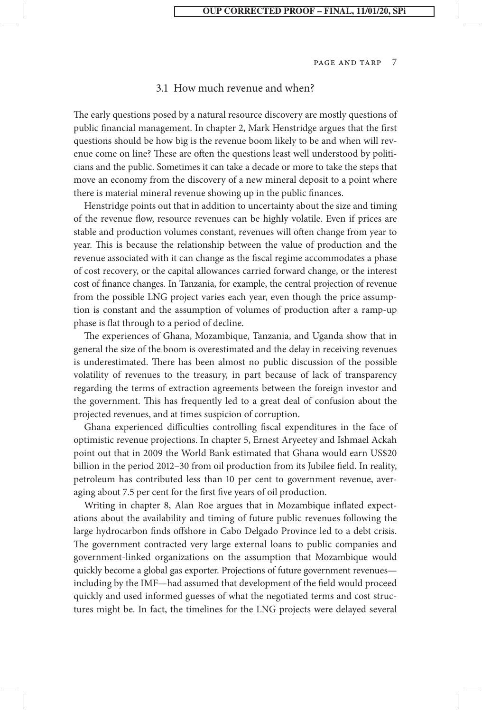#### 3.1 How much revenue and when?

The early questions posed by a natural resource discovery are mostly questions of public financial management. In chapter 2, Mark Henstridge argues that the first questions should be how big is the revenue boom likely to be and when will revenue come on line? These are often the questions least well understood by politicians and the public. Sometimes it can take a decade or more to take the steps that move an economy from the discovery of a new mineral deposit to a point where there is material mineral revenue showing up in the public finances.

Henstridge points out that in addition to uncertainty about the size and timing of the revenue flow, resource revenues can be highly volatile. Even if prices are stable and production volumes constant, revenues will often change from year to year. This is because the relationship between the value of production and the revenue associated with it can change as the fiscal regime accommodates a phase of cost recovery, or the capital allowances carried forward change, or the interest cost of finance changes. In Tanzania, for example, the central projection of revenue from the possible LNG project varies each year, even though the price assumption is constant and the assumption of volumes of production after a ramp-up phase is flat through to a period of decline.

The experiences of Ghana, Mozambique, Tanzania, and Uganda show that in general the size of the boom is overestimated and the delay in receiving revenues is underestimated. There has been almost no public discussion of the possible volatility of revenues to the treasury, in part because of lack of transparency regarding the terms of extraction agreements between the foreign investor and the government. This has frequently led to a great deal of confusion about the projected revenues, and at times suspicion of corruption.

Ghana experienced difficulties controlling fiscal expenditures in the face of optimistic revenue projections. In chapter 5, Ernest Aryeetey and Ishmael Ackah point out that in 2009 the World Bank estimated that Ghana would earn US\$20 billion in the period 2012–30 from oil production from its Jubilee field. In reality, petroleum has contributed less than 10 per cent to government revenue, averaging about 7.5 per cent for the first five years of oil production.

Writing in chapter 8, Alan Roe argues that in Mozambique inflated expectations about the availability and timing of future public revenues following the large hydrocarbon finds offshore in Cabo Delgado Province led to a debt crisis. The government contracted very large external loans to public companies and government-linked organizations on the assumption that Mozambique would quickly become a global gas exporter. Projections of future government revenues including by the IMF—had assumed that development of the field would proceed quickly and used informed guesses of what the negotiated terms and cost structures might be. In fact, the timelines for the LNG projects were delayed several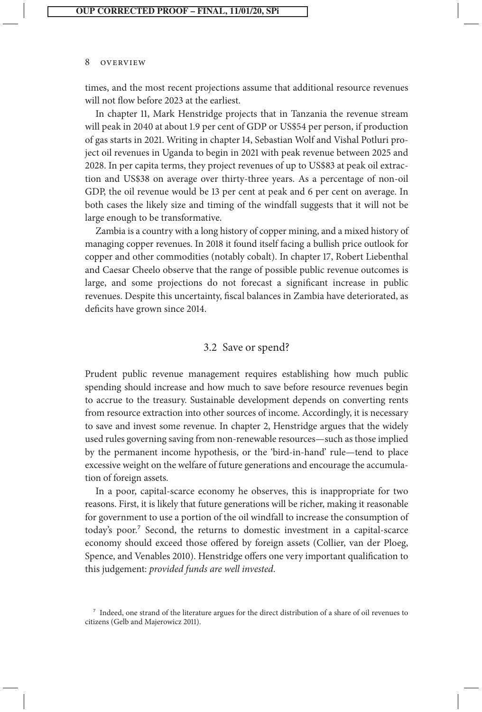times, and the most recent projections assume that additional resource revenues will not flow before 2023 at the earliest.

In chapter 11, Mark Henstridge projects that in Tanzania the revenue stream will peak in 2040 at about 1.9 per cent of GDP or US\$54 per person, if production of gas starts in 2021. Writing in chapter 14, Sebastian Wolf and Vishal Potluri project oil revenues in Uganda to begin in 2021 with peak revenue between 2025 and 2028. In per capita terms, they project revenues of up to US\$83 at peak oil extraction and US\$38 on average over thirty-three years. As a percentage of non-oil GDP, the oil revenue would be 13 per cent at peak and 6 per cent on average. In both cases the likely size and timing of the windfall suggests that it will not be large enough to be transformative.

Zambia is a country with a long history of copper mining, and a mixed history of managing copper revenues. In 2018 it found itself facing a bullish price outlook for copper and other commodities (notably cobalt). In chapter 17, Robert Liebenthal and Caesar Cheelo observe that the range of possible public revenue outcomes is large, and some projections do not forecast a significant increase in public revenues. Despite this uncertainty, fiscal balances in Zambia have deteriorated, as deficits have grown since 2014.

## 3.2 Save or spend?

Prudent public revenue management requires establishing how much public spending should increase and how much to save before resource revenues begin to accrue to the treasury. Sustainable development depends on converting rents from resource extraction into other sources of income. Accordingly, it is necessary to save and invest some revenue. In chapter 2, Henstridge argues that the widely used rules governing saving from non-renewable resources—such as those implied by the permanent income hypothesis, or the 'bird-in-hand' rule—tend to place excessive weight on the welfare of future generations and encourage the accumulation of foreign assets.

In a poor, capital-scarce economy he observes, this is inappropriate for two reasons. First, it is likely that future generations will be richer, making it reasonable for government to use a portion of the oil windfall to increase the consumption of today's poor.7 Second, the returns to domestic investment in a capital-scarce economy should exceed those offered by foreign assets (Collier, van der Ploeg, Spence, and Venables 2010). Henstridge offers one very important qualification to this judgement: *provided funds are well invested*.

<sup>7</sup> Indeed, one strand of the literature argues for the direct distribution of a share of oil revenues to citizens (Gelb and Majerowicz 2011).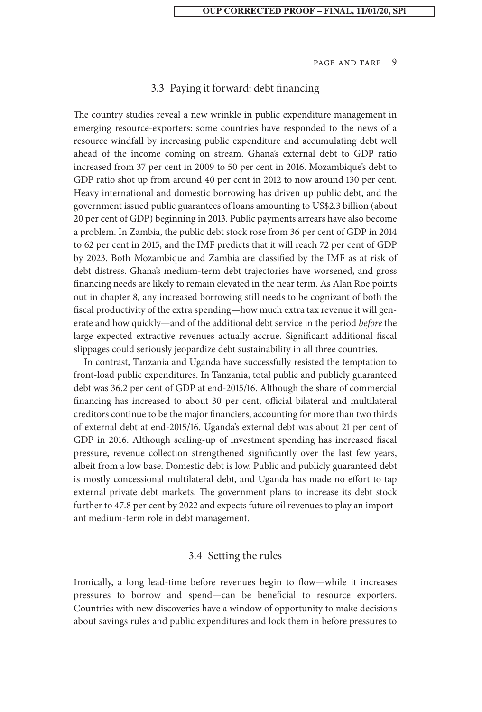#### 3.3 Paying it forward: debt financing

The country studies reveal a new wrinkle in public expenditure management in emerging resource-exporters: some countries have responded to the news of a resource windfall by increasing public expenditure and accumulating debt well ahead of the income coming on stream. Ghana's external debt to GDP ratio increased from 37 per cent in 2009 to 50 per cent in 2016. Mozambique's debt to GDP ratio shot up from around 40 per cent in 2012 to now around 130 per cent. Heavy international and domestic borrowing has driven up public debt, and the government issued public guarantees of loans amounting to US\$2.3 billion (about 20 per cent of GDP) beginning in 2013. Public payments arrears have also become a problem. In Zambia, the public debt stock rose from 36 per cent of GDP in 2014 to 62 per cent in 2015, and the IMF predicts that it will reach 72 per cent of GDP by 2023. Both Mozambique and Zambia are classified by the IMF as at risk of debt distress. Ghana's medium-term debt trajectories have worsened, and gross financing needs are likely to remain elevated in the near term. As Alan Roe points out in chapter 8, any increased borrowing still needs to be cognizant of both the fiscal productivity of the extra spending—how much extra tax revenue it will generate and how quickly—and of the additional debt service in the period *before* the large expected extractive revenues actually accrue. Significant additional fiscal slippages could seriously jeopardize debt sustainability in all three countries.

In contrast, Tanzania and Uganda have successfully resisted the temptation to front-load public expenditures. In Tanzania, total public and publicly guaranteed debt was 36.2 per cent of GDP at end-2015/16. Although the share of commercial financing has increased to about 30 per cent, official bilateral and multilateral creditors continue to be the major financiers, accounting for more than two thirds of external debt at end-2015/16. Uganda's external debt was about 21 per cent of GDP in 2016. Although scaling-up of investment spending has increased fiscal pressure, revenue collection strengthened significantly over the last few years, albeit from a low base. Domestic debt is low. Public and publicly guaranteed debt is mostly concessional multilateral debt, and Uganda has made no effort to tap external private debt markets. The government plans to increase its debt stock further to 47.8 per cent by 2022 and expects future oil revenues to play an important medium-term role in debt management.

#### 3.4 Setting the rules

Ironically, a long lead-time before revenues begin to flow—while it increases pressures to borrow and spend—can be beneficial to resource exporters. Countries with new discoveries have a window of opportunity to make decisions about savings rules and public expenditures and lock them in before pressures to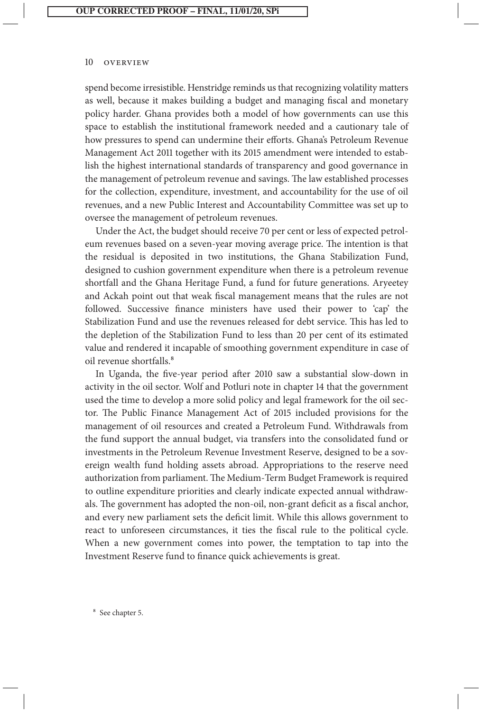spend become irresistible. Henstridge reminds us that recognizing volatility matters as well, because it makes building a budget and managing fiscal and monetary policy harder. Ghana provides both a model of how governments can use this space to establish the institutional framework needed and a cautionary tale of how pressures to spend can undermine their efforts. Ghana's Petroleum Revenue Management Act 2011 together with its 2015 amendment were intended to establish the highest international standards of transparency and good governance in the management of petroleum revenue and savings. The law established processes for the collection, expenditure, investment, and accountability for the use of oil revenues, and a new Public Interest and Accountability Committee was set up to oversee the management of petroleum revenues.

Under the Act, the budget should receive 70 per cent or less of expected petroleum revenues based on a seven-year moving average price. The intention is that the residual is deposited in two institutions, the Ghana Stabilization Fund, designed to cushion government expenditure when there is a petroleum revenue shortfall and the Ghana Heritage Fund, a fund for future generations. Aryeetey and Ackah point out that weak fiscal management means that the rules are not followed. Successive finance ministers have used their power to 'cap' the Stabilization Fund and use the revenues released for debt service. This has led to the depletion of the Stabilization Fund to less than 20 per cent of its estimated value and rendered it incapable of smoothing government expenditure in case of oil revenue shortfalls<sup>8</sup>

In Uganda, the five-year period after 2010 saw a substantial slow-down in activity in the oil sector. Wolf and Potluri note in chapter 14 that the government used the time to develop a more solid policy and legal framework for the oil sector. The Public Finance Management Act of 2015 included provisions for the management of oil resources and created a Petroleum Fund. Withdrawals from the fund support the annual budget, via transfers into the consolidated fund or investments in the Petroleum Revenue Investment Reserve, designed to be a sovereign wealth fund holding assets abroad. Appropriations to the reserve need authorization from parliament. The Medium-Term Budget Framework is required to outline expenditure priorities and clearly indicate expected annual withdrawals. The government has adopted the non-oil, non-grant deficit as a fiscal anchor, and every new parliament sets the deficit limit. While this allows government to react to unforeseen circumstances, it ties the fiscal rule to the political cycle. When a new government comes into power, the temptation to tap into the Investment Reserve fund to finance quick achievements is great.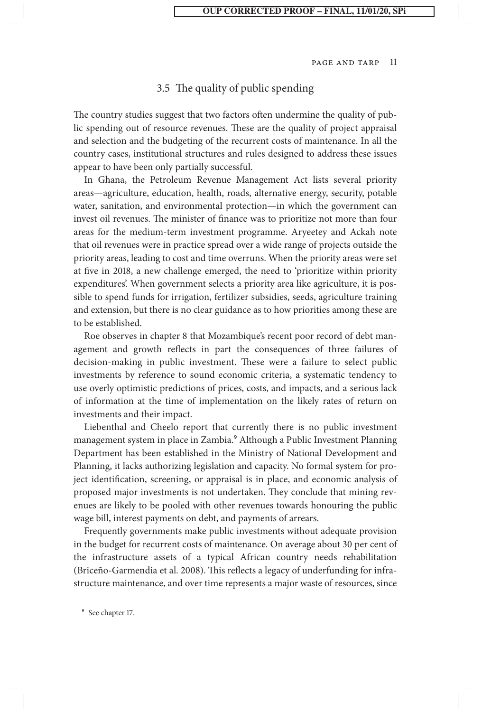#### 3.5 The quality of public spending

The country studies suggest that two factors often undermine the quality of public spending out of resource revenues. These are the quality of project appraisal and selection and the budgeting of the recurrent costs of maintenance. In all the country cases, institutional structures and rules designed to address these issues appear to have been only partially successful.

In Ghana, the Petroleum Revenue Management Act lists several priority areas—agriculture, education, health, roads, alternative energy, security, potable water, sanitation, and environmental protection—in which the government can invest oil revenues. The minister of finance was to prioritize not more than four areas for the medium-term investment programme. Aryeetey and Ackah note that oil revenues were in practice spread over a wide range of projects outside the priority areas, leading to cost and time overruns. When the priority areas were set at five in 2018, a new challenge emerged, the need to 'prioritize within priority expenditures'. When government selects a priority area like agriculture, it is possible to spend funds for irrigation, fertilizer subsidies, seeds, agriculture training and extension, but there is no clear guidance as to how priorities among these are to be established.

Roe observes in chapter 8 that Mozambique's recent poor record of debt management and growth reflects in part the consequences of three failures of decision-making in public investment. These were a failure to select public investments by reference to sound economic criteria, a systematic tendency to use overly optimistic predictions of prices, costs, and impacts, and a serious lack of information at the time of implementation on the likely rates of return on investments and their impact.

Liebenthal and Cheelo report that currently there is no public investment management system in place in Zambia.9 Although a Public Investment Planning Department has been established in the Ministry of National Development and Planning, it lacks authorizing legislation and capacity. No formal system for project identification, screening, or appraisal is in place, and economic analysis of proposed major investments is not undertaken. They conclude that mining revenues are likely to be pooled with other revenues towards honouring the public wage bill, interest payments on debt, and payments of arrears.

Frequently governments make public investments without adequate provision in the budget for recurrent costs of maintenance. On average about 30 per cent of the infrastructure assets of a typical African country needs rehabilitation (Briceño-Garmendia et al. 2008). This reflects a legacy of underfunding for infrastructure maintenance, and over time represents a major waste of resources, since

9 See chapter 17.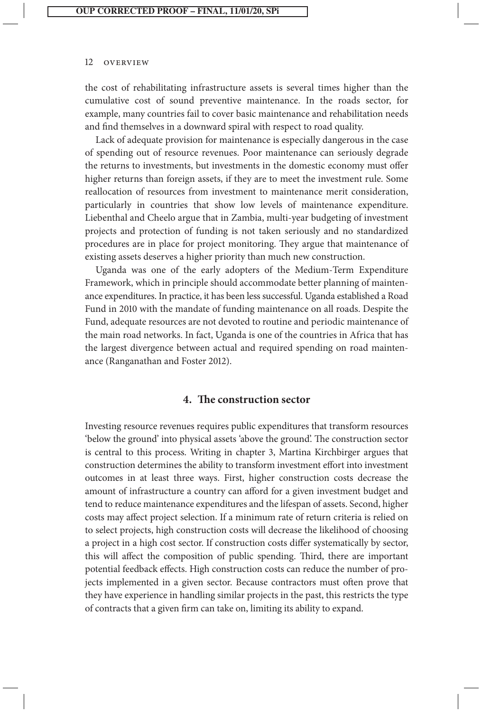the cost of rehabilitating infrastructure assets is several times higher than the cumulative cost of sound preventive maintenance. In the roads sector, for example, many countries fail to cover basic maintenance and rehabilitation needs and find themselves in a downward spiral with respect to road quality.

Lack of adequate provision for maintenance is especially dangerous in the case of spending out of resource revenues. Poor maintenance can seriously degrade the returns to investments, but investments in the domestic economy must offer higher returns than foreign assets, if they are to meet the investment rule. Some reallocation of resources from investment to maintenance merit consideration, particularly in countries that show low levels of maintenance expenditure. Liebenthal and Cheelo argue that in Zambia, multi-year budgeting of investment projects and protection of funding is not taken seriously and no standardized procedures are in place for project monitoring. They argue that maintenance of existing assets deserves a higher priority than much new construction.

Uganda was one of the early adopters of the Medium-Term Expenditure Framework, which in principle should accommodate better planning of maintenance expenditures. In practice, it has been less successful. Uganda established a Road Fund in 2010 with the mandate of funding maintenance on all roads. Despite the Fund, adequate resources are not devoted to routine and periodic maintenance of the main road networks. In fact, Uganda is one of the countries in Africa that has the largest divergence between actual and required spending on road maintenance (Ranganathan and Foster 2012).

#### **4. The construction sector**

Investing resource revenues requires public expenditures that transform resources 'below the ground' into physical assets 'above the ground'. The construction sector is central to this process. Writing in chapter 3, Martina Kirchbirger argues that construction determines the ability to transform investment effort into investment outcomes in at least three ways. First, higher construction costs decrease the amount of infrastructure a country can afford for a given investment budget and tend to reduce maintenance expenditures and the lifespan of assets. Second, higher costs may affect project selection. If a minimum rate of return criteria is relied on to select projects, high construction costs will decrease the likelihood of choosing a project in a high cost sector. If construction costs differ systematically by sector, this will affect the composition of public spending. Third, there are important potential feedback effects. High construction costs can reduce the number of projects implemented in a given sector. Because contractors must often prove that they have experience in handling similar projects in the past, this restricts the type of contracts that a given firm can take on, limiting its ability to expand.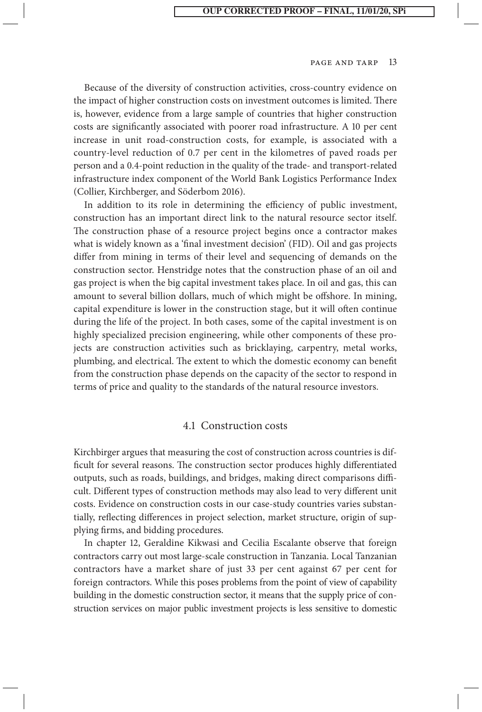Because of the diversity of construction activities, cross-country evidence on the impact of higher construction costs on investment outcomes is limited. There is, however, evidence from a large sample of countries that higher construction costs are significantly associated with poorer road infrastructure. A 10 per cent increase in unit road-construction costs, for example, is associated with a country-level reduction of 0.7 per cent in the kilometres of paved roads per person and a 0.4-point reduction in the quality of the trade- and transport-related infrastructure index component of the World Bank Logistics Performance Index (Collier, Kirchberger, and Söderbom 2016).

In addition to its role in determining the efficiency of public investment, construction has an important direct link to the natural resource sector itself. The construction phase of a resource project begins once a contractor makes what is widely known as a 'final investment decision' (FID). Oil and gas projects differ from mining in terms of their level and sequencing of demands on the construction sector. Henstridge notes that the construction phase of an oil and gas project is when the big capital investment takes place. In oil and gas, this can amount to several billion dollars, much of which might be offshore. In mining, capital expenditure is lower in the construction stage, but it will often continue during the life of the project. In both cases, some of the capital investment is on highly specialized precision engineering, while other components of these projects are construction activities such as bricklaying, carpentry, metal works, plumbing, and electrical. The extent to which the domestic economy can benefit from the construction phase depends on the capacity of the sector to respond in terms of price and quality to the standards of the natural resource investors.

#### 4.1 Construction costs

Kirchbirger argues that measuring the cost of construction across countries is difficult for several reasons. The construction sector produces highly differentiated outputs, such as roads, buildings, and bridges, making direct comparisons difficult. Different types of construction methods may also lead to very different unit costs. Evidence on construction costs in our case-study countries varies substantially, reflecting differences in project selection, market structure, origin of supplying firms, and bidding procedures.

In chapter 12, Geraldine Kikwasi and Cecilia Escalante observe that foreign contractors carry out most large-scale construction in Tanzania. Local Tanzanian contractors have a market share of just 33 per cent against 67 per cent for foreign contractors. While this poses problems from the point of view of capability building in the domestic construction sector, it means that the supply price of construction services on major public investment projects is less sensitive to domestic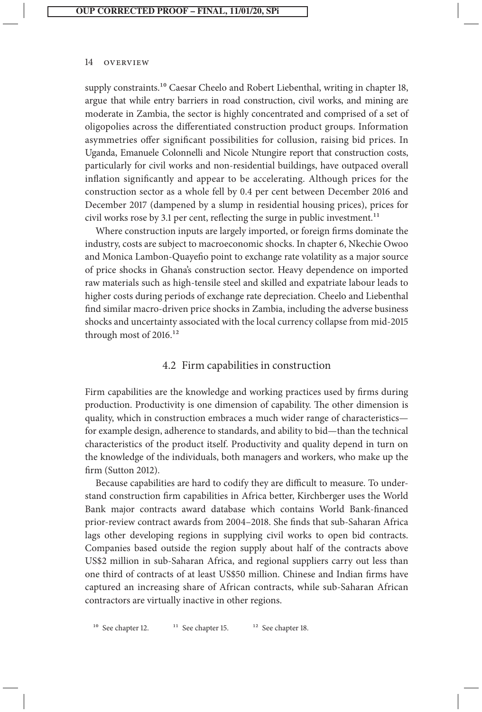supply constraints.<sup>10</sup> Caesar Cheelo and Robert Liebenthal, writing in chapter 18, argue that while entry barriers in road construction, civil works, and mining are moderate in Zambia, the sector is highly concentrated and comprised of a set of oligopolies across the differentiated construction product groups. Information asymmetries offer significant possibilities for collusion, raising bid prices. In Uganda, Emanuele Colonnelli and Nicole Ntungire report that construction costs, particularly for civil works and non-residential buildings, have outpaced overall inflation significantly and appear to be accelerating. Although prices for the construction sector as a whole fell by 0.4 per cent between December 2016 and December 2017 (dampened by a slump in residential housing prices), prices for civil works rose by 3.1 per cent, reflecting the surge in public investment.<sup>11</sup>

Where construction inputs are largely imported, or foreign firms dominate the industry, costs are subject to macroeconomic shocks. In chapter 6, Nkechie Owoo and Monica Lambon-Quayefio point to exchange rate volatility as a major source of price shocks in Ghana's construction sector. Heavy dependence on imported raw materials such as high-tensile steel and skilled and expatriate labour leads to higher costs during periods of exchange rate depreciation. Cheelo and Liebenthal find similar macro-driven price shocks in Zambia, including the adverse business shocks and uncertainty associated with the local currency collapse from mid-2015 through most of 2016.<sup>12</sup>

## 4.2 Firm capabilities in construction

Firm capabilities are the knowledge and working practices used by firms during production. Productivity is one dimension of capability. The other dimension is quality, which in construction embraces a much wider range of characteristics for example design, adherence to standards, and ability to bid—than the technical characteristics of the product itself. Productivity and quality depend in turn on the knowledge of the individuals, both managers and workers, who make up the firm (Sutton 2012).

Because capabilities are hard to codify they are difficult to measure. To understand construction firm capabilities in Africa better, Kirchberger uses the World Bank major contracts award database which contains World Bank-financed prior-review contract awards from 2004–2018. She finds that sub-Saharan Africa lags other developing regions in supplying civil works to open bid contracts. Companies based outside the region supply about half of the contracts above US\$2 million in sub-Saharan Africa, and regional suppliers carry out less than one third of contracts of at least US\$50 million. Chinese and Indian firms have captured an increasing share of African contracts, while sub-Saharan African contractors are virtually inactive in other regions.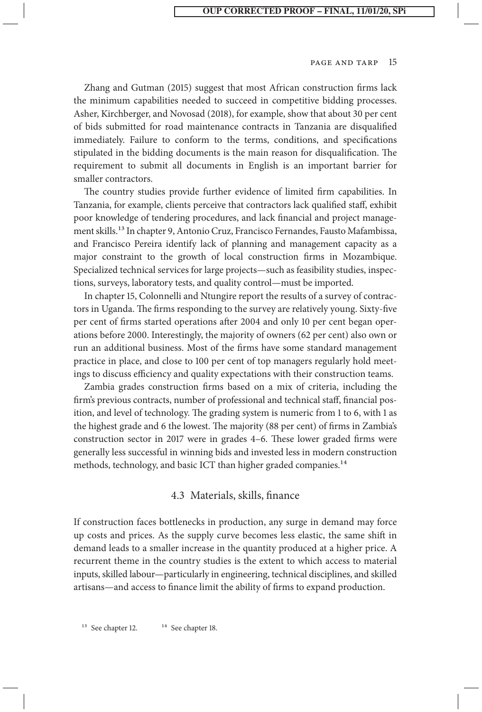Zhang and Gutman (2015) suggest that most African construction firms lack the minimum capabilities needed to succeed in competitive bidding processes. Asher, Kirchberger, and Novosad (2018), for example, show that about 30 per cent of bids submitted for road maintenance contracts in Tanzania are disqualified immediately. Failure to conform to the terms, conditions, and specifications stipulated in the bidding documents is the main reason for disqualification. The requirement to submit all documents in English is an important barrier for smaller contractors.

The country studies provide further evidence of limited firm capabilities. In Tanzania, for example, clients perceive that contractors lack qualified staff, exhibit poor knowledge of tendering procedures, and lack financial and project management skills.13 In chapter 9, Antonio Cruz, Francisco Fernandes, Fausto Mafambissa, and Francisco Pereira identify lack of planning and management capacity as a major constraint to the growth of local construction firms in Mozambique. Specialized technical services for large projects—such as feasibility studies, inspections, surveys, laboratory tests, and quality control—must be imported.

In chapter 15, Colonnelli and Ntungire report the results of a survey of contractors in Uganda. The firms responding to the survey are relatively young. Sixty-five per cent of firms started operations after 2004 and only 10 per cent began operations before 2000. Interestingly, the majority of owners (62 per cent) also own or run an additional business. Most of the firms have some standard management practice in place, and close to 100 per cent of top managers regularly hold meetings to discuss efficiency and quality expectations with their construction teams.

Zambia grades construction firms based on a mix of criteria, including the firm's previous contracts, number of professional and technical staff, financial position, and level of technology. The grading system is numeric from 1 to 6, with 1 as the highest grade and 6 the lowest. The majority (88 per cent) of firms in Zambia's construction sector in 2017 were in grades 4–6. These lower graded firms were generally less successful in winning bids and invested less in modern construction methods, technology, and basic ICT than higher graded companies.<sup>14</sup>

#### 4.3 Materials, skills, finance

If construction faces bottlenecks in production, any surge in demand may force up costs and prices. As the supply curve becomes less elastic, the same shift in demand leads to a smaller increase in the quantity produced at a higher price. A recurrent theme in the country studies is the extent to which access to material inputs, skilled labour—particularly in engineering, technical disciplines, and skilled artisans—and access to finance limit the ability of firms to expand production.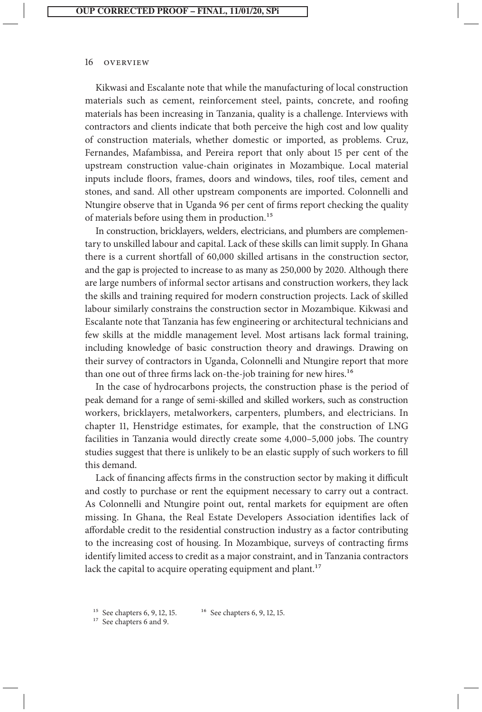Kikwasi and Escalante note that while the manufacturing of local construction materials such as cement, reinforcement steel, paints, concrete, and roofing materials has been increasing in Tanzania, quality is a challenge. Interviews with contractors and clients indicate that both perceive the high cost and low quality of construction materials, whether domestic or imported, as problems. Cruz, Fernandes, Mafambissa, and Pereira report that only about 15 per cent of the upstream construction value-chain originates in Mozambique. Local material inputs include floors, frames, doors and windows, tiles, roof tiles, cement and stones, and sand. All other upstream components are imported. Colonnelli and Ntungire observe that in Uganda 96 per cent of firms report checking the quality of materials before using them in production.<sup>15</sup>

In construction, bricklayers, welders, electricians, and plumbers are complementary to unskilled labour and capital. Lack of these skills can limit supply. In Ghana there is a current shortfall of 60,000 skilled artisans in the construction sector, and the gap is projected to increase to as many as 250,000 by 2020. Although there are large numbers of informal sector artisans and construction workers, they lack the skills and training required for modern construction projects. Lack of skilled labour similarly constrains the construction sector in Mozambique. Kikwasi and Escalante note that Tanzania has few engineering or architectural technicians and few skills at the middle management level. Most artisans lack formal training, including knowledge of basic construction theory and drawings. Drawing on their survey of contractors in Uganda, Colonnelli and Ntungire report that more than one out of three firms lack on-the-job training for new hires.<sup>16</sup>

In the case of hydrocarbons projects, the construction phase is the period of peak demand for a range of semi-skilled and skilled workers, such as construction workers, bricklayers, metalworkers, carpenters, plumbers, and electricians. In chapter 11, Henstridge estimates, for example, that the construction of LNG facilities in Tanzania would directly create some 4,000–5,000 jobs. The country studies suggest that there is unlikely to be an elastic supply of such workers to fill this demand.

Lack of financing affects firms in the construction sector by making it difficult and costly to purchase or rent the equipment necessary to carry out a contract. As Colonnelli and Ntungire point out, rental markets for equipment are often missing. In Ghana, the Real Estate Developers Association identifies lack of affordable credit to the residential construction industry as a factor contributing to the increasing cost of housing. In Mozambique, surveys of contracting firms identify limited access to credit as a major constraint, and in Tanzania contractors lack the capital to acquire operating equipment and plant.<sup>17</sup>

<sup>&</sup>lt;sup>15</sup> See chapters 6, 9, 12, 15. <sup>16</sup> See chapters 6, 9, 12, 15.

<sup>&</sup>lt;sup>17</sup> See chapters 6 and 9.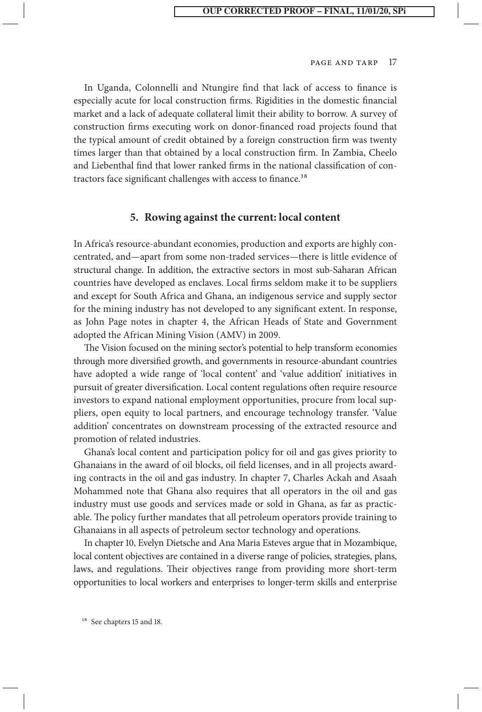In Uganda, Colonnelli and Ntungire find that lack of access to finance is especially acute for local construction firms. Rigidities in the domestic financial market and a lack of adequate collateral limit their ability to borrow. A survey of construction firms executing work on donor-financed road projects found that the typical amount of credit obtained by a foreign construction firm was twenty times larger than that obtained by a local construction firm. In Zambia, Cheelo and Liebenthal find that lower ranked firms in the national classification of contractors face significant challenges with access to finance.<sup>18</sup>

#### **5. Rowing against the current: local content**

In Africa's resource-abundant economies, production and exports are highly concentrated, and—apart from some non-traded services—there is little evidence of structural change. In addition, the extractive sectors in most sub-Saharan African countries have developed as enclaves. Local firms seldom make it to be suppliers and except for South Africa and Ghana, an indigenous service and supply sector for the mining industry has not developed to any significant extent. In response, as John Page notes in chapter 4, the African Heads of State and Government adopted the African Mining Vision (AMV) in 2009.

The Vision focused on the mining sector's potential to help transform economies through more diversified growth, and governments in resource-abundant countries have adopted a wide range of 'local content' and 'value addition' initiatives in pursuit of greater diversification. Local content regulations often require resource investors to expand national employment opportunities, procure from local suppliers, open equity to local partners, and encourage technology transfer. 'Value addition' concentrates on downstream processing of the extracted resource and promotion of related industries.

Ghana's local content and participation policy for oil and gas gives priority to Ghanaians in the award of oil blocks, oil field licenses, and in all projects awarding contracts in the oil and gas industry. In chapter 7, Charles Ackah and Asaah Mohammed note that Ghana also requires that all operators in the oil and gas industry must use goods and services made or sold in Ghana, as far as practicable. The policy further mandates that all petroleum operators provide training to Ghanaians in all aspects of petroleum sector technology and operations.

In chapter 10, Evelyn Dietsche and Ana Maria Esteves argue that in Mozambique, local content objectives are contained in a diverse range of policies, strategies, plans, laws, and regulations. Their objectives range from providing more short-term opportunities to local workers and enterprises to longer-term skills and enterprise

<sup>18</sup> See chapters 15 and 18.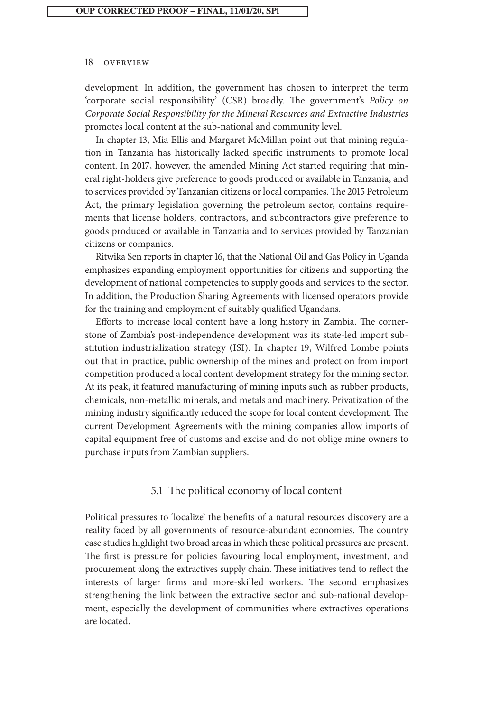development. In addition, the government has chosen to interpret the term 'corporate social responsibility' (CSR) broadly. The government's *Policy on Corporate Social Responsibility for the Mineral Resources and Extractive Industries* promotes local content at the sub-national and community level.

In chapter 13, Mia Ellis and Margaret McMillan point out that mining regulation in Tanzania has historically lacked specific instruments to promote local content. In 2017, however, the amended Mining Act started requiring that mineral right-holders give preference to goods produced or available in Tanzania, and to services provided by Tanzanian citizens or local companies. The 2015 Petroleum Act, the primary legislation governing the petroleum sector, contains requirements that license holders, contractors, and subcontractors give preference to goods produced or available in Tanzania and to services provided by Tanzanian citizens or companies.

Ritwika Sen reports in chapter 16, that the National Oil and Gas Policy in Uganda emphasizes expanding employment opportunities for citizens and supporting the development of national competencies to supply goods and services to the sector. In addition, the Production Sharing Agreements with licensed operators provide for the training and employment of suitably qualified Ugandans.

Efforts to increase local content have a long history in Zambia. The cornerstone of Zambia's post-independence development was its state-led import substitution industrialization strategy (ISI). In chapter 19, Wilfred Lombe points out that in practice, public ownership of the mines and protection from import competition produced a local content development strategy for the mining sector. At its peak, it featured manufacturing of mining inputs such as rubber products, chemicals, non-metallic minerals, and metals and machinery. Privatization of the mining industry significantly reduced the scope for local content development. The current Development Agreements with the mining companies allow imports of capital equipment free of customs and excise and do not oblige mine owners to purchase inputs from Zambian suppliers.

## 5.1 The political economy of local content

Political pressures to 'localize' the benefits of a natural resources discovery are a reality faced by all governments of resource-abundant economies. The country case studies highlight two broad areas in which these political pressures are present. The first is pressure for policies favouring local employment, investment, and procurement along the extractives supply chain. These initiatives tend to reflect the interests of larger firms and more-skilled workers. The second emphasizes strengthening the link between the extractive sector and sub-national development, especially the development of communities where extractives operations are located.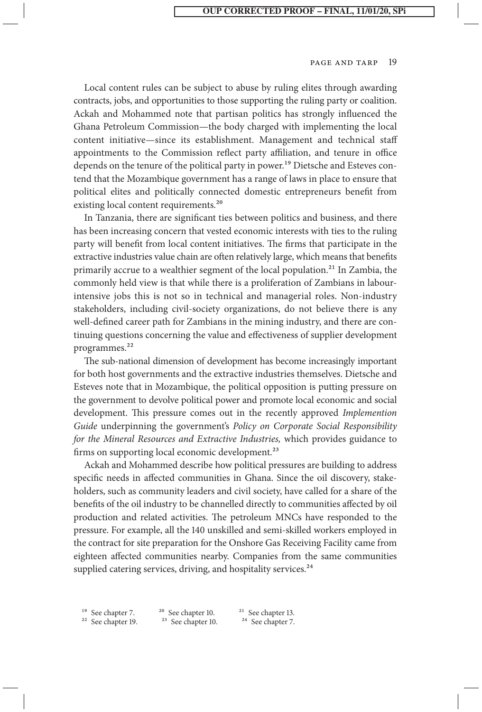Local content rules can be subject to abuse by ruling elites through awarding contracts, jobs, and opportunities to those supporting the ruling party or coalition. Ackah and Mohammed note that partisan politics has strongly influenced the Ghana Petroleum Commission—the body charged with implementing the local content initiative—since its establishment. Management and technical staff appointments to the Commission reflect party affiliation, and tenure in office depends on the tenure of the political party in power.<sup>19</sup> Dietsche and Esteves contend that the Mozambique government has a range of laws in place to ensure that political elites and politically connected domestic entrepreneurs benefit from existing local content requirements.<sup>20</sup>

In Tanzania, there are significant ties between politics and business, and there has been increasing concern that vested economic interests with ties to the ruling party will benefit from local content initiatives. The firms that participate in the extractive industries value chain are often relatively large, which means that benefits primarily accrue to a wealthier segment of the local population.<sup>21</sup> In Zambia, the commonly held view is that while there is a proliferation of Zambians in labourintensive jobs this is not so in technical and managerial roles. Non-industry stakeholders, including civil-society organizations, do not believe there is any well-defined career path for Zambians in the mining industry, and there are continuing questions concerning the value and effectiveness of supplier development programmes.<sup>22</sup>

The sub-national dimension of development has become increasingly important for both host governments and the extractive industries themselves. Dietsche and Esteves note that in Mozambique, the political opposition is putting pressure on the government to devolve political power and promote local economic and social development. This pressure comes out in the recently approved *Implemention Guide* underpinning the government's *Policy on Corporate Social Responsibility for the Mineral Resources and Extractive Industries,* which provides guidance to firms on supporting local economic development.<sup>23</sup>

Ackah and Mohammed describe how political pressures are building to address specific needs in affected communities in Ghana. Since the oil discovery, stakeholders, such as community leaders and civil society, have called for a share of the benefits of the oil industry to be channelled directly to communities affected by oil production and related activities. The petroleum MNCs have responded to the pressure. For example, all the 140 unskilled and semi-skilled workers employed in the contract for site preparation for the Onshore Gas Receiving Facility came from eighteen affected communities nearby. Companies from the same communities supplied catering services, driving, and hospitality services.<sup>24</sup>

<sup>19</sup> See chapter 7. <sup>20</sup> See chapter 10. <sup>21</sup> See chapter 13.<br><sup>22</sup> See chapter 19. <sup>23</sup> See chapter 10. <sup>24</sup> See chapter 7.  $24$  See chapter 7.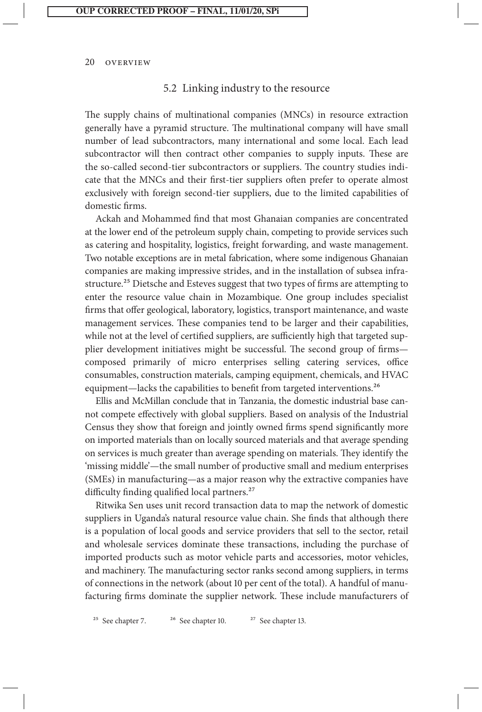#### 5.2 Linking industry to the resource

The supply chains of multinational companies (MNCs) in resource extraction generally have a pyramid structure. The multinational company will have small number of lead subcontractors, many international and some local. Each lead subcontractor will then contract other companies to supply inputs. These are the so-called second-tier subcontractors or suppliers. The country studies indicate that the MNCs and their first-tier suppliers often prefer to operate almost exclusively with foreign second-tier suppliers, due to the limited capabilities of domestic firms.

Ackah and Mohammed find that most Ghanaian companies are concentrated at the lower end of the petroleum supply chain, competing to provide services such as catering and hospitality, logistics, freight forwarding, and waste management. Two notable exceptions are in metal fabrication, where some indigenous Ghanaian companies are making impressive strides, and in the installation of subsea infrastructure.<sup>25</sup> Dietsche and Esteves suggest that two types of firms are attempting to enter the resource value chain in Mozambique. One group includes specialist firms that offer geological, laboratory, logistics, transport maintenance, and waste management services. These companies tend to be larger and their capabilities, while not at the level of certified suppliers, are sufficiently high that targeted supplier development initiatives might be successful. The second group of firms composed primarily of micro enterprises selling catering services, office consumables, construction materials, camping equipment, chemicals, and HVAC equipment—lacks the capabilities to benefit from targeted interventions.<sup>26</sup>

Ellis and McMillan conclude that in Tanzania, the domestic industrial base cannot compete effectively with global suppliers. Based on analysis of the Industrial Census they show that foreign and jointly owned firms spend significantly more on imported materials than on locally sourced materials and that average spending on services is much greater than average spending on materials. They identify the 'missing middle'—the small number of productive small and medium enterprises (SMEs) in manufacturing—as a major reason why the extractive companies have difficulty finding qualified local partners.<sup>27</sup>

Ritwika Sen uses unit record transaction data to map the network of domestic suppliers in Uganda's natural resource value chain. She finds that although there is a population of local goods and service providers that sell to the sector, retail and wholesale services dominate these transactions, including the purchase of imported products such as motor vehicle parts and accessories, motor vehicles, and machinery. The manufacturing sector ranks second among suppliers, in terms of connections in the network (about 10 per cent of the total). A handful of manufacturing firms dominate the supplier network. These include manufacturers of

<sup>25</sup> See chapter 7. <sup>26</sup> See chapter 10. <sup>27</sup> See chapter 13.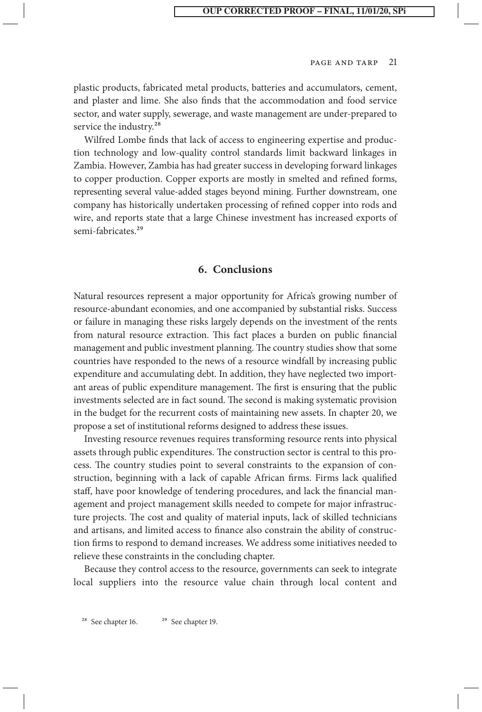plastic products, fabricated metal products, batteries and accumulators, cement, and plaster and lime. She also finds that the accommodation and food service sector, and water supply, sewerage, and waste management are under-prepared to service the industry.<sup>28</sup>

Wilfred Lombe finds that lack of access to engineering expertise and production technology and low-quality control standards limit backward linkages in Zambia. However, Zambia has had greater success in developing forward linkages to copper production. Copper exports are mostly in smelted and refined forms, representing several value-added stages beyond mining. Further downstream, one company has historically undertaken processing of refined copper into rods and wire, and reports state that a large Chinese investment has increased exports of semi-fabricates<sup>29</sup>

#### **6. Conclusions**

Natural resources represent a major opportunity for Africa's growing number of resource-abundant economies, and one accompanied by substantial risks. Success or failure in managing these risks largely depends on the investment of the rents from natural resource extraction. This fact places a burden on public financial management and public investment planning. The country studies show that some countries have responded to the news of a resource windfall by increasing public expenditure and accumulating debt. In addition, they have neglected two important areas of public expenditure management. The first is ensuring that the public investments selected are in fact sound. The second is making systematic provision in the budget for the recurrent costs of maintaining new assets. In chapter 20, we propose a set of institutional reforms designed to address these issues.

Investing resource revenues requires transforming resource rents into physical assets through public expenditures. The construction sector is central to this process. The country studies point to several constraints to the expansion of construction, beginning with a lack of capable African firms. Firms lack qualified staff, have poor knowledge of tendering procedures, and lack the financial management and project management skills needed to compete for major infrastructure projects. The cost and quality of material inputs, lack of skilled technicians and artisans, and limited access to finance also constrain the ability of construction firms to respond to demand increases. We address some initiatives needed to relieve these constraints in the concluding chapter.

Because they control access to the resource, governments can seek to integrate local suppliers into the resource value chain through local content and

<sup>&</sup>lt;sup>28</sup> See chapter 16.  $2^9$  See chapter 19.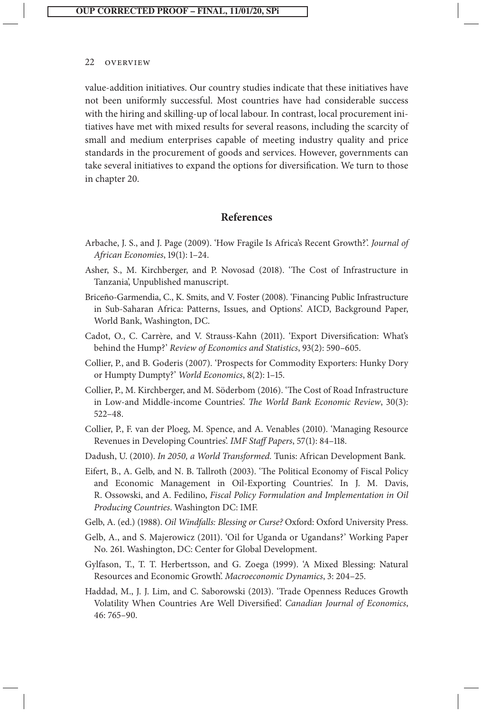value-addition initiatives. Our country studies indicate that these initiatives have not been uniformly successful. Most countries have had considerable success with the hiring and skilling-up of local labour. In contrast, local procurement initiatives have met with mixed results for several reasons, including the scarcity of small and medium enterprises capable of meeting industry quality and price standards in the procurement of goods and services. However, governments can take several initiatives to expand the options for diversification. We turn to those in chapter 20.

#### **References**

- Arbache, J. S., and J. Page (2009). 'How Fragile Is Africa's Recent Growth?'. *Journal of African Economies*, 19(1): 1–24.
- Asher, S., M. Kirchberger, and P. Novosad (2018). 'The Cost of Infrastructure in Tanzania', Unpublished manuscript.
- Briceño-Garmendia, C., K. Smits, and V. Foster (2008). 'Financing Public Infrastructure in Sub-Saharan Africa: Patterns, Issues, and Options'. AICD, Background Paper, World Bank, Washington, DC.
- Cadot, O., C. Carrère, and V. Strauss-Kahn (2011). 'Export Diversification: What's behind the Hump?' *Review of Economics and Statistics*, 93(2): 590–605.
- Collier, P., and B. Goderis (2007). 'Prospects for Commodity Exporters: Hunky Dory or Humpty Dumpty?' *World Economics*, 8(2): 1–15.
- Collier, P., M. Kirchberger, and M. Söderbom (2016). 'The Cost of Road Infrastructure in Low-and Middle-income Countries'. *The World Bank Economic Review*, 30(3): 522–48.
- Collier, P., F. van der Ploeg, M. Spence, and A. Venables (2010). 'Managing Resource Revenues in Developing Countries'. *IMF Staff Papers*, 57(1): 84–118.
- Dadush, U. (2010). *In 2050, a World Transformed.* Tunis: African Development Bank.
- Eifert, B., A. Gelb, and N. B. Tallroth (2003). 'The Political Economy of Fiscal Policy and Economic Management in Oil-Exporting Countries'. In J. M. Davis, R. Ossowski, and A. Fedilino, *Fiscal Policy Formulation and Implementation in Oil Producing Countries*. Washington DC: IMF.
- Gelb, A. (ed.) (1988). *Oil Windfalls: Blessing or Curse?* Oxford: Oxford University Press.
- Gelb, A., and S. Majerowicz (2011). 'Oil for Uganda or Ugandans?' Working Paper No. 261. Washington, DC: Center for Global Development.
- Gylfason, T., T. T. Herbertsson, and G. Zoega (1999). 'A Mixed Blessing: Natural Resources and Economic Growth'. *Macroeconomic Dynamics*, 3: 204–25.
- Haddad, M., J. J. Lim, and C. Saborowski (2013). 'Trade Openness Reduces Growth Volatility When Countries Are Well Diversified'. *Canadian Journal of Economics*, 46: 765–90.